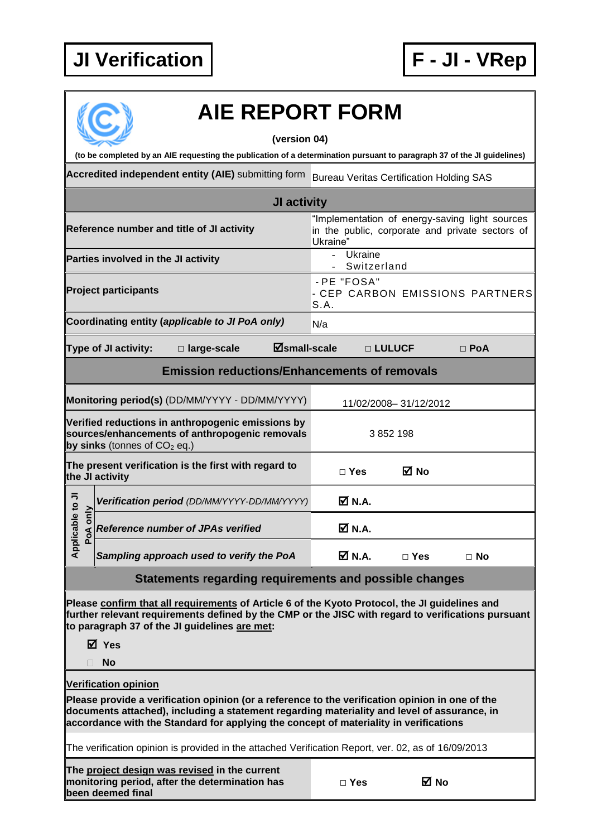

|                                                                                                                                       | <b>AIE REPORT FORM</b>                                                                                                                                                                                                                                                                  |                                                        |                       |                                                                                                   |
|---------------------------------------------------------------------------------------------------------------------------------------|-----------------------------------------------------------------------------------------------------------------------------------------------------------------------------------------------------------------------------------------------------------------------------------------|--------------------------------------------------------|-----------------------|---------------------------------------------------------------------------------------------------|
|                                                                                                                                       | (version 04)<br>(to be completed by an AIE requesting the publication of a determination pursuant to paragraph 37 of the JI guidelines)                                                                                                                                                 |                                                        |                       |                                                                                                   |
|                                                                                                                                       | Accredited independent entity (AIE) submitting form Bureau Veritas Certification Holding SAS                                                                                                                                                                                            |                                                        |                       |                                                                                                   |
|                                                                                                                                       | JI activity                                                                                                                                                                                                                                                                             |                                                        |                       |                                                                                                   |
|                                                                                                                                       | Reference number and title of JI activity                                                                                                                                                                                                                                               | Ukraine"                                               |                       | "Implementation of energy-saving light sources<br>in the public, corporate and private sectors of |
| Parties involved in the JI activity                                                                                                   |                                                                                                                                                                                                                                                                                         | Ukraine<br>$\sim$<br>Switzerland                       |                       |                                                                                                   |
| <b>Project participants</b>                                                                                                           |                                                                                                                                                                                                                                                                                         | - PE "FOSA"<br>- CEP CARBON EMISSIONS PARTNERS<br>S.A. |                       |                                                                                                   |
|                                                                                                                                       | Coordinating entity (applicable to JI PoA only)                                                                                                                                                                                                                                         | N/a                                                    |                       |                                                                                                   |
| $\Xi$ small-scale<br>Type of JI activity:<br>□ large-scale                                                                            |                                                                                                                                                                                                                                                                                         |                                                        | □ LULUCF              | $\Box$ PoA                                                                                        |
|                                                                                                                                       | <b>Emission reductions/Enhancements of removals</b>                                                                                                                                                                                                                                     |                                                        |                       |                                                                                                   |
|                                                                                                                                       | Monitoring period(s) (DD/MM/YYYY - DD/MM/YYYY)                                                                                                                                                                                                                                          |                                                        | 11/02/2008-31/12/2012 |                                                                                                   |
| Verified reductions in anthropogenic emissions by<br>sources/enhancements of anthropogenic removals<br>by sinks (tonnes of $CO2$ eq.) |                                                                                                                                                                                                                                                                                         | 3 852 198                                              |                       |                                                                                                   |
|                                                                                                                                       | The present verification is the first with regard to<br>the JI activity                                                                                                                                                                                                                 | $\Box$ Yes                                             | ⊠ No                  |                                                                                                   |
|                                                                                                                                       | Verification period (DD/MM/YYYY-DD/MM/YYYY)                                                                                                                                                                                                                                             | $\overline{M}$ N.A.                                    |                       |                                                                                                   |
| able to JI<br>only<br><b>Po</b>                                                                                                       | $\triangleleft$ Reference number of JPAs verified                                                                                                                                                                                                                                       | $\boxtimes$ N.A.                                       |                       |                                                                                                   |
| Applic                                                                                                                                | Sampling approach used to verify the PoA                                                                                                                                                                                                                                                | <b>Ø</b> N.A.                                          | $\Box$ Yes            | $\Box$ No                                                                                         |
|                                                                                                                                       | <b>Statements regarding requirements and possible changes</b>                                                                                                                                                                                                                           |                                                        |                       |                                                                                                   |
|                                                                                                                                       | Please confirm that all requirements of Article 6 of the Kyoto Protocol, the JI guidelines and<br>further relevant requirements defined by the CMP or the JISC with regard to verifications pursuant<br>to paragraph 37 of the JI guidelines are met:<br>⊠ Yes<br><b>No</b>             |                                                        |                       |                                                                                                   |
|                                                                                                                                       | <b>Verification opinion</b>                                                                                                                                                                                                                                                             |                                                        |                       |                                                                                                   |
|                                                                                                                                       | Please provide a verification opinion (or a reference to the verification opinion in one of the<br>documents attached), including a statement regarding materiality and level of assurance, in<br>accordance with the Standard for applying the concept of materiality in verifications |                                                        |                       |                                                                                                   |
|                                                                                                                                       | The verification opinion is provided in the attached Verification Report, ver. 02, as of 16/09/2013                                                                                                                                                                                     |                                                        |                       |                                                                                                   |
|                                                                                                                                       | The project design was revised in the current<br>monitoring period, after the determination has<br>been deemed final                                                                                                                                                                    | $\Box$ Yes                                             | ⊠ No                  |                                                                                                   |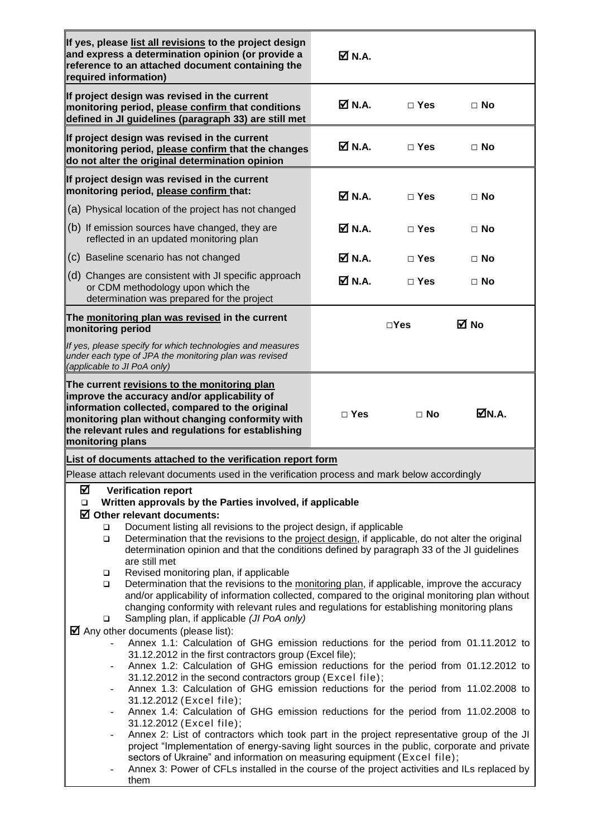| If yes, please list all revisions to the project design<br>and express a determination opinion (or provide a<br>reference to an attached document containing the<br>required information)                                                                                                                                                                                                                     | <b>Ø</b> N.A.                |               |           |
|---------------------------------------------------------------------------------------------------------------------------------------------------------------------------------------------------------------------------------------------------------------------------------------------------------------------------------------------------------------------------------------------------------------|------------------------------|---------------|-----------|
| If project design was revised in the current<br>monitoring period, please confirm that conditions<br>defined in JI guidelines (paragraph 33) are still met                                                                                                                                                                                                                                                    | <b>☑ N.A.</b>                | $\Box$ Yes    | $\Box$ No |
| If project design was revised in the current<br>monitoring period, please confirm that the changes<br>do not alter the original determination opinion                                                                                                                                                                                                                                                         | $\overline{M}$ N.A.          | $\Box$ Yes    | $\Box$ No |
| If project design was revised in the current<br>monitoring period, please confirm that:                                                                                                                                                                                                                                                                                                                       | <b>Ø</b> N.A.                | $\Box$ Yes    | $\Box$ No |
| (a) Physical location of the project has not changed                                                                                                                                                                                                                                                                                                                                                          |                              |               |           |
| (b) If emission sources have changed, they are<br>reflected in an updated monitoring plan                                                                                                                                                                                                                                                                                                                     | <b>Ø</b> N.A.                | $\Box$ Yes    | $\Box$ No |
| (c) Baseline scenario has not changed                                                                                                                                                                                                                                                                                                                                                                         | <b>☑ N.A.</b>                | $\Box$ Yes    | $\Box$ No |
| (d) Changes are consistent with JI specific approach<br>or CDM methodology upon which the<br>determination was prepared for the project                                                                                                                                                                                                                                                                       | $\overline{\mathsf{M}}$ N.A. | $\Box$ Yes    | $\Box$ No |
| The monitoring plan was revised in the current<br>monitoring period                                                                                                                                                                                                                                                                                                                                           |                              | $\square$ Yes | ⊠ No      |
| If yes, please specify for which technologies and measures<br>under each type of JPA the monitoring plan was revised<br>(applicable to JI PoA only)                                                                                                                                                                                                                                                           |                              |               |           |
| The current revisions to the monitoring plan<br>improve the accuracy and/or applicability of<br>information collected, compared to the original<br>monitoring plan without changing conformity with<br>the relevant rules and regulations for establishing<br>monitoring plans                                                                                                                                | $\square$ Yes                | $\Box$ No     | ØN.A.     |
| List of documents attached to the verification report form                                                                                                                                                                                                                                                                                                                                                    |                              |               |           |
| Please attach relevant documents used in the verification process and mark below accordingly                                                                                                                                                                                                                                                                                                                  |                              |               |           |
| ☑<br><b>Verification report</b><br>Written approvals by the Parties involved, if applicable<br>$\Box$                                                                                                                                                                                                                                                                                                         |                              |               |           |
| $\boxtimes$ Other relevant documents:                                                                                                                                                                                                                                                                                                                                                                         |                              |               |           |
| Document listing all revisions to the project design, if applicable<br>□<br>Determination that the revisions to the project design, if applicable, do not alter the original<br>$\Box$<br>determination opinion and that the conditions defined by paragraph 33 of the JI guidelines<br>are still met                                                                                                         |                              |               |           |
| Revised monitoring plan, if applicable<br>$\Box$<br>Determination that the revisions to the monitoring plan, if applicable, improve the accuracy<br>$\Box$<br>and/or applicability of information collected, compared to the original monitoring plan without<br>changing conformity with relevant rules and regulations for establishing monitoring plans<br>Sampling plan, if applicable (JI PoA only)<br>▫ |                              |               |           |
| $\blacksquare$ Any other documents (please list):<br>Annex 1.1: Calculation of GHG emission reductions for the period from 01.11.2012 to<br>31.12.2012 in the first contractors group (Excel file);                                                                                                                                                                                                           |                              |               |           |
| Annex 1.2: Calculation of GHG emission reductions for the period from 01.12.2012 to<br>31.12.2012 in the second contractors group (Excel file);                                                                                                                                                                                                                                                               |                              |               |           |
| Annex 1.3: Calculation of GHG emission reductions for the period from 11.02.2008 to<br>$\overline{\phantom{0}}$<br>31.12.2012 (Excel file);                                                                                                                                                                                                                                                                   |                              |               |           |
| Annex 1.4: Calculation of GHG emission reductions for the period from 11.02.2008 to<br>$\overline{\phantom{0}}$<br>31.12.2012 (Excel file);                                                                                                                                                                                                                                                                   |                              |               |           |
| Annex 2: List of contractors which took part in the project representative group of the JI<br>-<br>project "Implementation of energy-saving light sources in the public, corporate and private<br>sectors of Ukraine" and information on measuring equipment (Excel file);<br>Annex 3: Power of CFLs installed in the course of the project activities and ILs replaced by<br>them                            |                              |               |           |